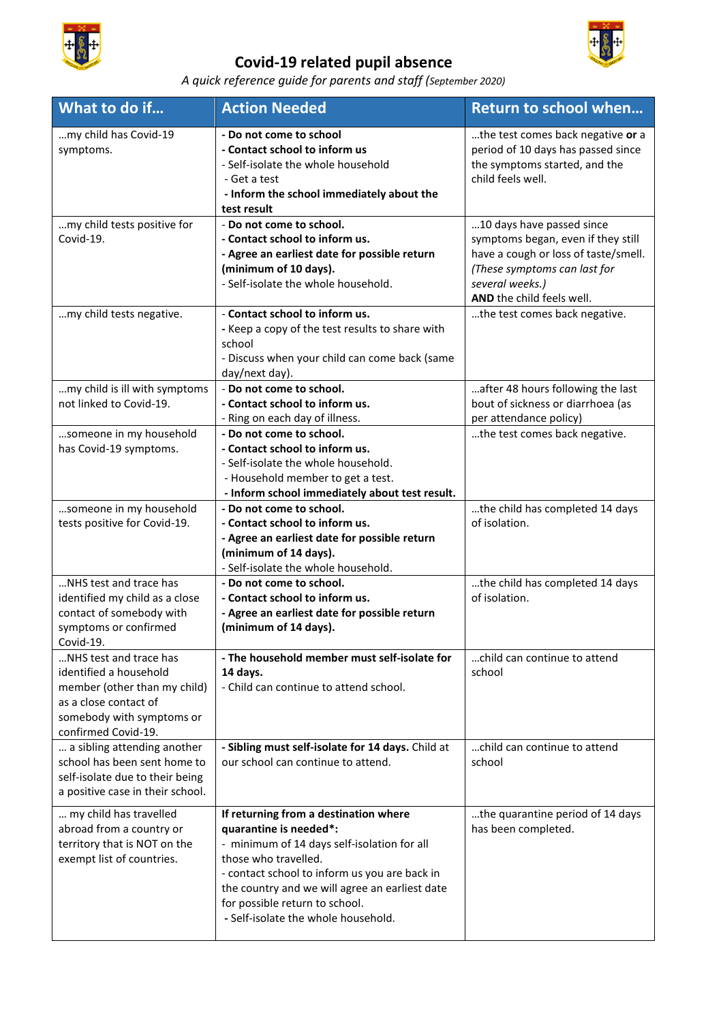

## **Covid-19 related pupil absence**



## *A quick reference guide for parents and staff (September 2020)*

| What to do if                                                                                                                                                 | <b>Action Needed</b>                                                                                                                                                                                                                                                                                               | <b>Return to school when</b>                                                                                                                                                            |
|---------------------------------------------------------------------------------------------------------------------------------------------------------------|--------------------------------------------------------------------------------------------------------------------------------------------------------------------------------------------------------------------------------------------------------------------------------------------------------------------|-----------------------------------------------------------------------------------------------------------------------------------------------------------------------------------------|
| my child has Covid-19<br>symptoms.                                                                                                                            | - Do not come to school<br>- Contact school to inform us<br>- Self-isolate the whole household<br>- Get a test<br>- Inform the school immediately about the<br>test result                                                                                                                                         | the test comes back negative or a<br>period of 10 days has passed since<br>the symptoms started, and the<br>child feels well.                                                           |
| my child tests positive for<br>Covid-19.                                                                                                                      | - Do not come to school.<br>- Contact school to inform us.<br>- Agree an earliest date for possible return<br>(minimum of 10 days).<br>- Self-isolate the whole household.                                                                                                                                         | 10 days have passed since<br>symptoms began, even if they still<br>have a cough or loss of taste/smell.<br>(These symptoms can last for<br>several weeks.)<br>AND the child feels well. |
| my child tests negative.                                                                                                                                      | - Contact school to inform us.<br>- Keep a copy of the test results to share with<br>school<br>- Discuss when your child can come back (same<br>day/next day).                                                                                                                                                     | the test comes back negative.                                                                                                                                                           |
| my child is ill with symptoms<br>not linked to Covid-19.                                                                                                      | - Do not come to school.<br>- Contact school to inform us.<br>- Ring on each day of illness.                                                                                                                                                                                                                       | after 48 hours following the last<br>bout of sickness or diarrhoea (as<br>per attendance policy)                                                                                        |
| someone in my household<br>has Covid-19 symptoms.                                                                                                             | - Do not come to school.<br>- Contact school to inform us.<br>- Self-isolate the whole household.<br>- Household member to get a test.<br>- Inform school immediately about test result.                                                                                                                           | the test comes back negative.                                                                                                                                                           |
| someone in my household<br>tests positive for Covid-19.                                                                                                       | - Do not come to school.<br>- Contact school to inform us.<br>- Agree an earliest date for possible return<br>(minimum of 14 days).<br>- Self-isolate the whole household.                                                                                                                                         | the child has completed 14 days<br>of isolation.                                                                                                                                        |
| NHS test and trace has<br>identified my child as a close<br>contact of somebody with<br>symptoms or confirmed<br>Covid-19.                                    | - Do not come to school.<br>- Contact school to inform us.<br>- Agree an earliest date for possible return<br>(minimum of 14 days).                                                                                                                                                                                | the child has completed 14 days<br>of isolation.                                                                                                                                        |
| NHS test and trace has<br>identified a household<br>member (other than my child)<br>as a close contact of<br>somebody with symptoms or<br>confirmed Covid-19. | - The household member must self-isolate for<br>14 days.<br>- Child can continue to attend school.                                                                                                                                                                                                                 | child can continue to attend<br>school                                                                                                                                                  |
| a sibling attending another<br>school has been sent home to<br>self-isolate due to their being<br>a positive case in their school.                            | - Sibling must self-isolate for 14 days. Child at<br>our school can continue to attend.                                                                                                                                                                                                                            | child can continue to attend<br>school                                                                                                                                                  |
| my child has travelled<br>abroad from a country or<br>territory that is NOT on the<br>exempt list of countries.                                               | If returning from a destination where<br>quarantine is needed*:<br>- minimum of 14 days self-isolation for all<br>those who travelled.<br>- contact school to inform us you are back in<br>the country and we will agree an earliest date<br>for possible return to school.<br>- Self-isolate the whole household. | the quarantine period of 14 days<br>has been completed.                                                                                                                                 |